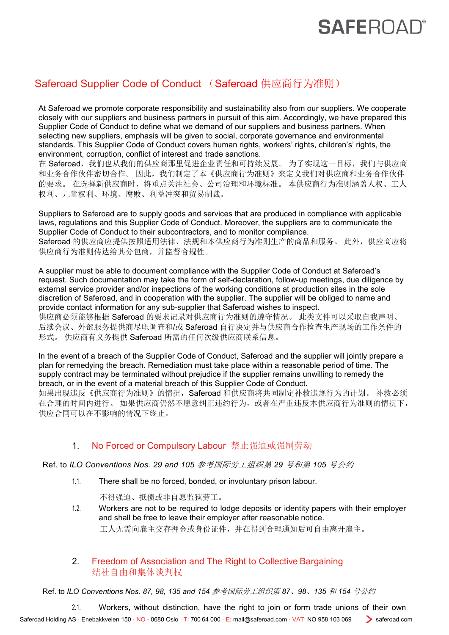# **SAFEROA**

### **Saferoad Supplier Code of Conduct (Saferoad** 供应商行为准则)

At Saferoad we promote corporate responsibility and sustainability also from our suppliers. We cooperate closely with our suppliers and business partners in pursuit of this aim. Accordingly, we have prepared this Supplier Code of Conduct to define what we demand of our suppliers and business partners. When selecting new suppliers, emphasis will be given to social, corporate governance and environmental standards. This Supplier Code of Conduct covers human rights, workers' rights, children's' rights, the environment, corruption, conflict of interest and trade sanctions.

在 Saferoad,我们也从我们的供应商那里促进企业责任和可持续发展。为了实现这一目标,我们与供应商 和业务合作伙伴密切合作。 因此,我们制定了本《供应商行为准则》来定义我们对供应商和业务合作伙伴 的要求。 在选择新供应商时,将重点关注社会、公司治理和环境标准。 本供应商行为准则涵盖人权、工人 权利、儿童权利、环境、腐败、利益冲突和贸易制裁。

Suppliers to Saferoad are to supply goods and services that are produced in compliance with applicable laws, regulations and this Supplier Code of Conduct. Moreover, the suppliers are to communicate the Supplier Code of Conduct to their subcontractors, and to monitor compliance.

Saferoad 的供应商应提供按照适用法律、法规和本供应商行为准则生产的商品和服务。此外,供应商应将 供应商行为准则传达给其分包商,并监督合规性。

A supplier must be able to document compliance with the Supplier Code of Conduct at Saferoad's request. Such documentation may take the form of self-declaration, follow-up meetings, due diligence by external service provider and/or inspections of the working conditions at production sites in the sole discretion of Saferoad, and in cooperation with the supplier. The supplier will be obliged to name and provide contact information for any sub-supplier that Saferoad wishes to inspect.

供应商必须能够根据 Saferoad 的要求记录对供应商行为准则的遵守情况。 此类文件可以采取自我声明、 后续会议、外部服务提供商尽职调查和/或 Saferoad 自行决定并与供应商合作检查生产现场的工作条件的 形式。 供应商有义务提供 Saferoad 所需的任何次级供应商联系信息。

In the event of a breach of the Supplier Code of Conduct, Saferoad and the supplier will jointly prepare a plan for remedying the breach. Remediation must take place within a reasonable period of time. The supply contract may be terminated without prejudice if the supplier remains unwilling to remedy the breach, or in the event of a material breach of this Supplier Code of Conduct.

如果出现违反《供应商行为准则》的情况, Saferoad 和供应商将共同制定补救违规行为的计划。 补救必须 在合理的时间内进行。 如果供应商仍然不愿意纠正违约行为,或者在严重违反本供应商行为准则的情况下, 供应合同可以在不影响的情况下终止。

### 1. No Forced or Compulsory Labour 禁止强迫或强制劳动

Ref. to *ILO Conventions Nos. 29 and 105* 参考国际劳工组织第 *29* 号和第 *105* 号公约

1.1. There shall be no forced, bonded, or involuntary prison labour.

不得强迫、抵债或非自愿监狱劳工。

1.2. Workers are not to be required to lodge deposits or identity papers with their employer and shall be free to leave their employer after reasonable notice. 工人无需向雇主交存押金或身份证件,并在得到合理通知后可自由离开雇主。

### 2. Freedom of Association and The Right to Collective Bargaining 结社自由和集体谈判权

Ref. to *ILO Conventions Nos. 87, 98, 135 and 154* 参考国际劳工组织第 *87*、*98*、*135* 和 *154* 号公约

2.1. Workers, without distinction, have the right to join or form trade unions of their own

Saferoad Holding AS · Enebakkveien 150 · NO - 0680 Oslo · T: 700 64 000 · E: [mail@saferoad.com](mailto:mail@saferoad.com) · VAT: NO 958 103 069 saferoad.com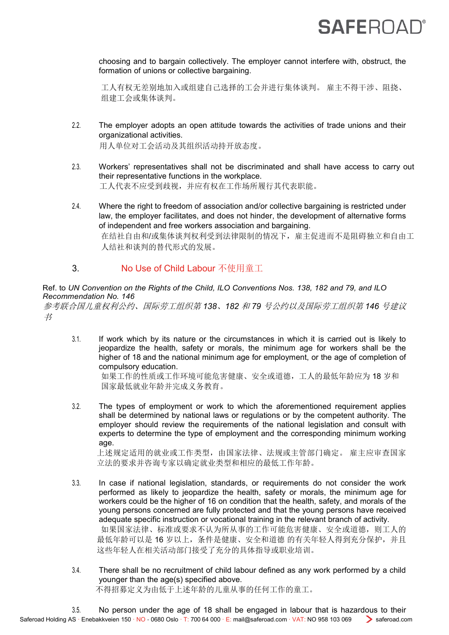# **SAFEROAD**

choosing and to bargain collectively. The employer cannot interfere with, obstruct, the formation of unions or collective bargaining.

工人有权无差别地加入或组建自己选择的工会并进行集体谈判。 雇主不得干涉、阻挠、 组建工会或集体谈判。

2.2. The employer adopts an open attitude towards the activities of trade unions and their organizational activities.

用人单位对工会活动及其组织活动持开放态度。

- 2.3. Workers' representatives shall not be discriminated and shall have access to carry out their representative functions in the workplace. 工人代表不应受到歧视,并应有权在工作场所履行其代表职能。
- 2.4. Where the right to freedom of association and/or collective bargaining is restricted under law, the employer facilitates, and does not hinder, the development of alternative forms of independent and free workers association and bargaining. 在结社自由和/或集体谈判权利受到法律限制的情况下,雇主促进而不是阻碍独立和自由工 人结社和谈判的替代形式的发展。

### 3. No Use of Child Labour 不使用童工

#### Ref. to *UN Convention on the Rights of the Child, ILO Conventions Nos. 138, 182 and 79, and ILO Recommendation No. 146*

参考联合国儿童权利公约、国际劳工组织第 *138*、*182* 和 *79* 号公约以及国际劳工组织第 *146* 号建议  $\overrightarrow{B}$ 

3.1. If work which by its nature or the circumstances in which it is carried out is likely to jeopardize the health, safety or morals, the minimum age for workers shall be the higher of 18 and the national minimum age for employment, or the age of completion of compulsory education.

如果工作的性质或工作环境可能危害健康、安全或道德,工人的最低年龄应为 18 岁和 国家最低就业年龄并完成义务教育。

3.2. The types of employment or work to which the aforementioned requirement applies shall be determined by national laws or regulations or by the competent authority. The employer should review the requirements of the national legislation and consult with experts to determine the type of employment and the corresponding minimum working age.

上述规定适用的就业或工作类型,由国家法律、法规或主管部门确定。 雇主应审查国家 立法的要求并咨询专家以确定就业类型和相应的最低工作年龄。

- 3.3. In case if national legislation, standards, or requirements do not consider the work performed as likely to jeopardize the health, safety or morals, the minimum age for workers could be the higher of 16 on condition that the health, safety, and morals of the young persons concerned are fully protected and that the young persons have received adequate specific instruction or vocational training in the relevant branch of activity. 如果国家法律、标准或要求不认为所从事的工作可能危害健康、安全或道德,则工人的 最低年龄可以是 16 岁以上,条件是健康、安全和道德 的有关年轻人得到充分保护,并且 这些年轻人在相关活动部门接受了充分的具体指导或职业培训。
- 3.4. There shall be no recruitment of child labour defined as any work performed by a child younger than the age(s) specified above. 不得招募定义为由低于上述年龄的儿童从事的任何工作的童工。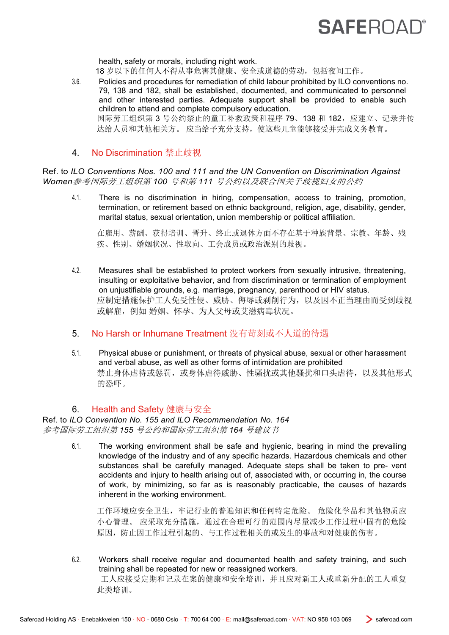# **SAFEROAD**

health, safety or morals, including night work.

18 岁以下的任何人不得从事危害其健康、安全或道德的劳动,包括夜间工作。

- 3.6. Policies and procedures for remediation of child labour prohibited by ILO conventions no. 79, 138 and 182, shall be established, documented, and communicated to personnel and other interested parties. Adequate support shall be provided to enable such children to attend and complete compulsory education. 国际劳工组织第 3 号公约禁止的童工补救政策和程序 79、138 和 182,应建立、记录并传 达给人员和其他相关方。 应当给予充分支持,使这些儿童能够接受并完成义务教育。
- 4. No Discrimination 禁止歧视

Ref. to *ILO Conventions Nos. 100 and 111 and the UN Convention on Discrimination Against Women*参考国际劳工组织第 *100* 号和第 *111* 号公约以及联合国关于歧视妇女的公约

4.1. There is no discrimination in hiring, compensation, access to training, promotion, termination, or retirement based on ethnic background, religion, age, disability, gender, marital status, sexual orientation, union membership or political affiliation.

在雇用、薪酬、获得培训、晋升、终止或退休方面不存在基于种族背景、宗教、年龄、残 疾、性别、婚姻状况、性取向、工会成员或政治派别的歧视。

- 4.2. Measures shall be established to protect workers from sexually intrusive, threatening, insulting or exploitative behavior, and from discrimination or termination of employment on unjustifiable grounds, e.g. marriage, pregnancy, parenthood or HIV status. 应制定措施保护工人免受性侵、威胁、侮辱或剥削行为,以及因不正当理由而受到歧视 或解雇,例如 婚姻、怀孕、为人父母或艾滋病毒状况。
- 5. No Harsh or Inhumane Treatment 没有苛刻或不人道的待遇
- 5.1. Physical abuse or punishment, or threats of physical abuse, sexual or other harassment and verbal abuse, as well as other forms of intimidation are prohibited 禁止身体虐待或惩罚,或身体虐待威胁、性骚扰或其他骚扰和口头虐待,以及其他形式 的恐吓。

### 6. Health and Safety 健康与安全

Ref. to *ILO Convention No. 155 and ILO Recommendation No. 164* 参考国际劳工组织第 *155* 号公约和国际劳工组织第 *164* 号建议书

> 6.1. The working environment shall be safe and hygienic, bearing in mind the prevailing knowledge of the industry and of any specific hazards. Hazardous chemicals and other substances shall be carefully managed. Adequate steps shall be taken to pre- vent accidents and injury to health arising out of, associated with, or occurring in, the course of work, by minimizing, so far as is reasonably practicable, the causes of hazards inherent in the working environment.

工作环境应安全卫生,牢记行业的普遍知识和任何特定危险。 危险化学品和其他物质应 小心管理。 应采取充分措施,通过在合理可行的范围内尽量减少工作过程中固有的危险 原因,防止因工作过程引起的、与工作过程相关的或发生的事故和对健康的伤害。

6.2. Workers shall receive regular and documented health and safety training, and such training shall be repeated for new or reassigned workers.

工人应接受定期和记录在案的健康和安全培训,并且应对新工人或重新分配的工人重复 此类培训。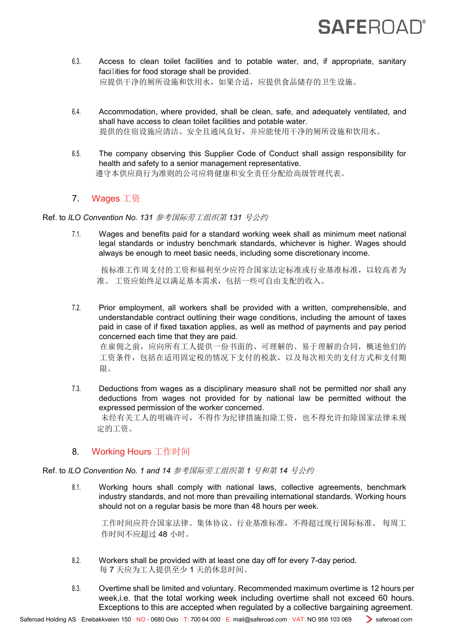# **SAFEROAD**

- 6.3. Access to clean toilet facilities and to potable water, and, if appropriate, sanitary facilities for food storage shall be provided. 应提供干净的厕所设施和饮用水,如果合适,应提供食品储存的卫生设施。
- 6.4. Accommodation, where provided, shall be clean, safe, and adequately ventilated, and shall have access to clean toilet facilities and potable water. 提供的住宿设施应清洁、安全且通风良好,并应能使用干净的厕所设施和饮用水。
- 6.5. The company observing this Supplier Code of Conduct shall assign responsibility for health and safety to a senior management representative. 遵守本供应商行为准则的公司应将健康和安全责任分配给高级管理代表。

### 7. Wages 工资

Ref. to *ILO Convention No. 131* 参考国际劳工组织第 *131* 号公约

7.1. Wages and benefits paid for a standard working week shall as minimum meet national legal standards or industry benchmark standards, whichever is higher. Wages should always be enough to meet basic needs, including some discretionary income.

按标准工作周支付的工资和福利至少应符合国家法定标准或行业基准标准,以较高者为 准。 工资应始终足以满足基本需求,包括一些可自由支配的收入。

- 7.2. Prior employment, all workers shall be provided with a written, comprehensible, and understandable contract outlining their wage conditions, including the amount of taxes paid in case of if fixed taxation applies, as well as method of payments and pay period concerned each time that they are paid. 在雇佣之前,应向所有工人提供一份书面的、可理解的、易于理解的合同,概述他们的 工资条件,包括在适用固定税的情况下支付的税款,以及每次相关的支付方式和支付期 限。
- 7.3. Deductions from wages as a disciplinary measure shall not be permitted nor shall any deductions from wages not provided for by national law be permitted without the expressed permission of the worker concerned. 未经有关工人的明确许可,不得作为纪律措施扣除工资,也不得允许扣除国家法律未规 定的工资。

### 8. Working Hours 工作时间

Ref. to *ILO Convention No. 1 and 14* 参考国际劳工组织第 *1* 号和第 *14* 号公约

8.1. Working hours shall comply with national laws, collective agreements, benchmark industry standards, and not more than prevailing international standards. Working hours should not on a regular basis be more than 48 hours per week.

工作时间应符合国家法律、集体协议、行业基准标准,不得超过现行国际标准。 每周工 作时间不应超过 48 小时。

- 8.2. Workers shall be provided with at least one day off for every 7-day period. 每 7 天应为工人提供至少 1 天的休息时间。
- 8.3. Overtime shall be limited and voluntary. Recommended maximum overtime is 12 hours per week,i.e. that the total working week including overtime shall not exceed 60 hours. Exceptions to this are accepted when regulated by a collective bargaining agreement.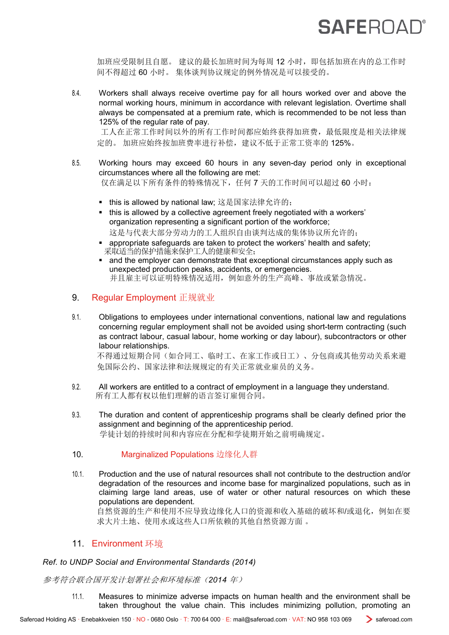# **SAFEROAD®**

加班应受限制且自愿。建议的最长加班时间为每周12 小时,即包括加班在内的总工作时 间不得超过 60 小时。 集体谈判协议规定的例外情况是可以接受的。

8.4. Workers shall always receive overtime pay for all hours worked over and above the normal working hours, minimum in accordance with relevant legislation. Overtime shall always be compensated at a premium rate, which is recommended to be not less than 125% of the regular rate of pay.

工人在正常工作时间以外的所有工作时间都应始终获得加班费,最低限度是相关法律规 定的。 加班应始终按加班费率进行补偿,建议不低于正常工资率的 125%。

- 8.5. Working hours may exceed 60 hours in any seven-day period only in exceptional circumstances where all the following are met: 仅在满足以下所有条件的特殊情况下,任何 7 天的工作时间可以超过 60 小时:
	- this is allowed by national law; 这是国家法律允许的;
	- this is allowed by a collective agreement freely negotiated with a workers' organization representing a significant portion of the workforce; 这是与代表大部分劳动力的工人组织自由谈判达成的集体协议所允许的;
	- appropriate safeguards are taken to protect the workers' health and safety; 采取适当的保护措施来保护工人的健康和安全;
	- and the employer can demonstrate that exceptional circumstances apply such as unexpected production peaks, accidents, or emergencies. 并且雇主可以证明特殊情况适用,例如意外的生产高峰、事故或紧急情况。

#### 9. Regular Employment 正规就业

9.1. Obligations to employees under international conventions, national law and regulations concerning regular employment shall not be avoided using short-term contracting (such as contract labour, casual labour, home working or day labour), subcontractors or other labour relationships.

不得通过短期合同(如合同工、临时工、在家工作或日工)、分包商或其他劳动关系来避 免国际公约、国家法律和法规规定的有关正常就业雇员的义务。

- 9.2. All workers are entitled to a contract of employment in a language they understand. 所有工人都有权以他们理解的语言签订雇佣合同。
- 9.3. The duration and content of apprenticeship programs shall be clearly defined prior the assignment and beginning of the apprenticeship period. 学徒计划的持续时间和内容应在分配和学徒期开始之前明确规定。

#### 10. Marginalized Populations 边缘化人群

10.1. Production and the use of natural resources shall not contribute to the destruction and/or degradation of the resources and income base for marginalized populations, such as in claiming large land areas, use of water or other natural resources on which these populations are dependent.

自然资源的生产和使用不应导致边缘化人口的资源和收入基础的破坏和/或退化,例如在要 求大片土地、使用水或这些人口所依赖的其他自然资源方面 。

#### 11. Environment 环境

#### *Ref. to UNDP Social and Environmental Standards (2014)*

参考符合联合国开发计划署社会和环境标准(*2014* 年)

11.1. Measures to minimize adverse impacts on human health and the environment shall be taken throughout the value chain. This includes minimizing pollution, promoting an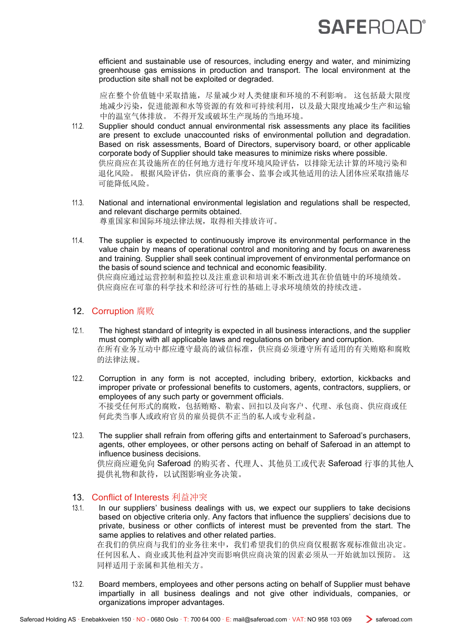# **SAFEROAL**

efficient and sustainable use of resources, including energy and water, and minimizing greenhouse gas emissions in production and transport. The local environment at the production site shall not be exploited or degraded.

应在整个价值链中采取措施,尽量减少对人类健康和环境的不利影响。 这包括最大限度 地减少污染,促进能源和水等资源的有效和可持续利用,以及最大限度地减少生产和运输 中的温室气体排放。 不得开发或破坏生产现场的当地环境。

- 11.2. Supplier should conduct annual environmental risk assessments any place its facilities are present to exclude unaccounted risks of environmental pollution and degradation. Based on risk assessments, Board of Directors, supervisory board, or other applicable corporate body of Supplier should take measures to minimize risks where possible. 供应商应在其设施所在的任何地方进行年度环境风险评估,以排除无法计算的环境污染和 退化风险。 根据风险评估,供应商的董事会、监事会或其他适用的法人团体应采取措施尽 可能降低风险。
- 11.3. National and international environmental legislation and regulations shall be respected, and relevant discharge permits obtained. 尊重国家和国际环境法律法规,取得相关排放许可。
- 11.4. The supplier is expected to continuously improve its environmental performance in the value chain by means of operational control and monitoring and by focus on awareness and training. Supplier shall seek continual improvement of environmental performance on the basis of sound science and technical and economic feasibility. 供应商应通过运营控制和监控以及注重意识和培训来不断改进其在价值链中的环境绩效。 供应商应在可靠的科学技术和经济可行性的基础上寻求环境绩效的持续改进。

#### 12. Corruption 腐败

- 12.1. The highest standard of integrity is expected in all business interactions, and the supplier must comply with all applicable laws and regulations on bribery and corruption. 在所有业务互动中都应遵守最高的诚信标准,供应商必须遵守所有适用的有关贿赂和腐败 的法律法规。
- 12.2. Corruption in any form is not accepted, including bribery, extortion, kickbacks and improper private or professional benefits to customers, agents, contractors, suppliers, or employees of any such party or government officials. 不接受任何形式的腐败,包括贿赂、勒索、回扣以及向客户、代理、承包商、供应商或任 何此类当事人或政府官员的雇员提供不正当的私人或专业利益。
- 12.3. The supplier shall refrain from offering gifts and entertainment to Saferoad's purchasers, agents, other employees, or other persons acting on behalf of Saferoad in an attempt to influence business decisions. 供应商应避免向 Saferoad 的购买者、代理人、其他员工或代表 Saferoad 行事的其他人 提供礼物和款待,以试图影响业务决策。

### 13. Conflict of Interests 利益冲突

- 13.1. In our suppliers' business dealings with us, we expect our suppliers to take decisions based on objective criteria only. Any factors that influence the suppliers' decisions due to private, business or other conflicts of interest must be prevented from the start. The same applies to relatives and other related parties. 在我们的供应商与我们的业务往来中,我们希望我们的供应商仅根据客观标准做出决定。 任何因私人、商业或其他利益冲突而影响供应商决策的因素必须从一开始就加以预防。 这 同样适用于亲属和其他相关方。
- 13.2. Board members, employees and other persons acting on behalf of Supplier must behave impartially in all business dealings and not give other individuals, companies, or organizations improper advantages.